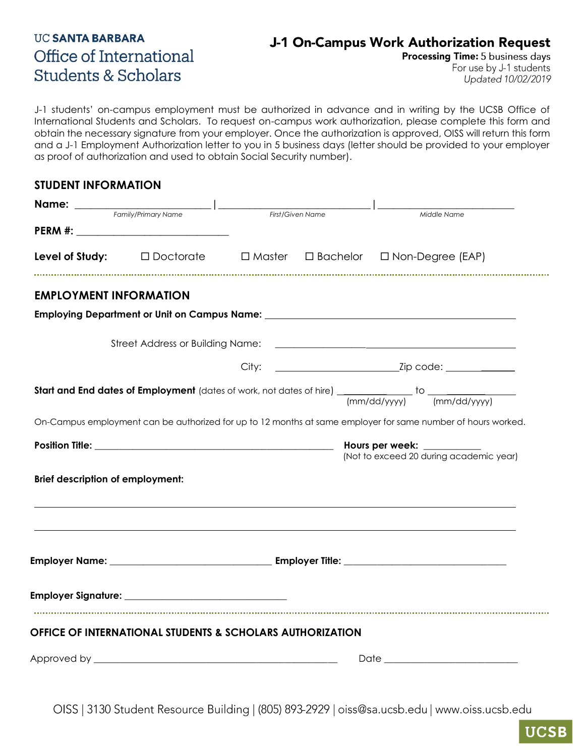## **UC SANTA BARBARA** Office of International **Students & Scholars**

#### J-1 On-Campus Work Authorization Request

Processing Time: 5 business days

For use by J-1 students Updated 10/02/2019

J-1 students' on-campus employment must be authorized in advance and in writing by the UCSB Office of International Students and Scholars. To request on-campus work authorization, please complete this form and obtain the necessary signature from your employer. Once the authorization is approved, OISS will return this form and a J-1 Employment Authorization letter to you in 5 business days (letter should be provided to your employer as proof of authorization and used to obtain Social Security number).

#### **STUDENT INFORMATION**

| Name: _____                             |                                                           |                  |  |                                                                                                                                |
|-----------------------------------------|-----------------------------------------------------------|------------------|--|--------------------------------------------------------------------------------------------------------------------------------|
| Family/Primary Name                     |                                                           | First/Given Name |  | Middle Name                                                                                                                    |
|                                         |                                                           |                  |  |                                                                                                                                |
|                                         |                                                           |                  |  | <b>Level of Study:</b> $\Box$ Doctorate $\Box$ Master $\Box$ Bachelor $\Box$ Non-Degree (EAP)                                  |
| <b>EMPLOYMENT INFORMATION</b>           |                                                           |                  |  |                                                                                                                                |
|                                         |                                                           |                  |  | Employing Department or Unit on Campus Name: ___________________________________                                               |
|                                         |                                                           |                  |  |                                                                                                                                |
|                                         |                                                           |                  |  |                                                                                                                                |
|                                         |                                                           |                  |  | <b>Start and End dates of Employment</b> (dates of work, not dates of hire) $\frac{1}{(mm/dd/yyy)}$ to $\frac{1}{(mm/dd/yyy)}$ |
|                                         |                                                           |                  |  | On-Campus employment can be authorized for up to 12 months at same employer for same number of hours worked.                   |
|                                         |                                                           |                  |  | (Not to exceed 20 during academic year)                                                                                        |
|                                         |                                                           |                  |  |                                                                                                                                |
|                                         |                                                           |                  |  |                                                                                                                                |
| <b>Brief description of employment:</b> |                                                           |                  |  |                                                                                                                                |
|                                         |                                                           |                  |  |                                                                                                                                |
|                                         |                                                           |                  |  |                                                                                                                                |
|                                         | OFFICE OF INTERNATIONAL STUDENTS & SCHOLARS AUTHORIZATION |                  |  |                                                                                                                                |

OISS | 3130 Student Resource Building | (805) 893-2929 | oiss@sa.ucsb.edu | www.oiss.ucsb.edu